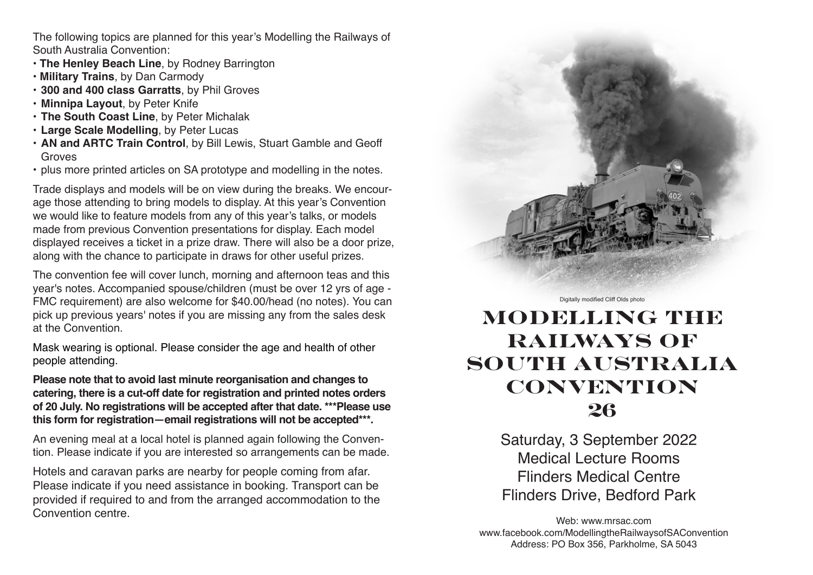The following topics are planned for this year's Modelling the Railways of South Australia Convention:

- **The Henley Beach Line**, by Rodney Barrington
- **Military Trains**, by Dan Carmody
- **300 and 400 class Garratts**, by Phil Groves
- **Minnipa Layout**, by Peter Knife
- **The South Coast Line**, by Peter Michalak
- **Large Scale Modelling**, by Peter Lucas
- **AN and ARTC Train Control**, by Bill Lewis, Stuart Gamble and Geoff **Groves**
- plus more printed articles on SA prototype and modelling in the notes.

Trade displays and models will be on view during the breaks. We encourage those attending to bring models to display. At this year's Convention we would like to feature models from any of this year's talks, or models made from previous Convention presentations for display. Each model displayed receives a ticket in a prize draw. There will also be a door prize, along with the chance to participate in draws for other useful prizes.

The convention fee will cover lunch, morning and afternoon teas and this year's notes. Accompanied spouse/children (must be over 12 yrs of age - FMC requirement) are also welcome for \$40.00/head (no notes). You can pick up previous years' notes if you are missing any from the sales desk at the Convention.

Mask wearing is optional. Please consider the age and health of other people attending.

**Please note that to avoid last minute reorganisation and changes to catering, there is a cut-off date for registration and printed notes orders of 20 July. No registrations will be accepted after that date. \*\*\*Please use this form for registration—email registrations will not be accepted\*\*\*.**

An evening meal at a local hotel is planned again following the Convention. Please indicate if you are interested so arrangements can be made.

Hotels and caravan parks are nearby for people coming from afar. Please indicate if you need assistance in booking. Transport can be provided if required to and from the arranged accommodation to the Convention centre.



Digitally modified Cliff Olds photo

# **MODELLING THE RAILWAYS OF SOUTH AUSTRALIA CONVENTION 26**

Saturday, 3 September 2022 Medical Lecture Rooms Flinders Medical Centre Flinders Drive, Bedford Park

Web: www.mrsac.com www.facebook.com/ModellingtheRailwaysofSAConvention Address: PO Box 356, Parkholme, SA 5043